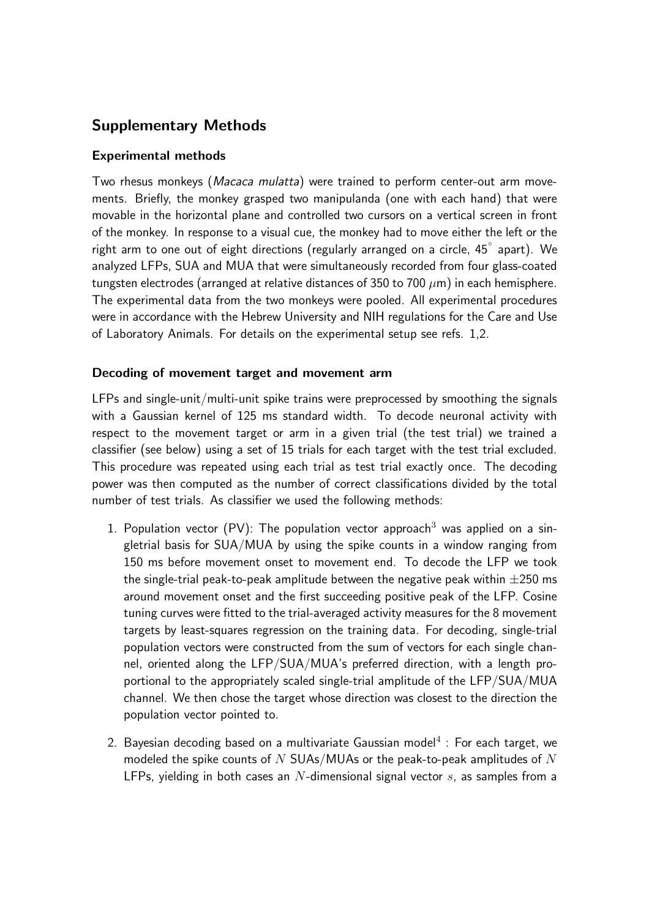# Supplementary Methods

### Experimental methods

Two rhesus monkeys (*Macaca mulatta*) were trained to perform center-out arm movements. Briefly, the monkey grasped two manipulanda (one with each hand) that were movable in the horizontal plane and controlled two cursors on a vertical screen in front of the monkey. In response to a visual cue, the monkey had to move either the left or the right arm to one out of eight directions (regularly arranged on a circle, 45◦ apart). We analyzed LFPs, SUA and MUA that were simultaneously recorded from four glass-coated tungsten electrodes (arranged at relative distances of 350 to 700  $\mu$ m) in each hemisphere. The experimental data from the two monkeys were pooled. All experimental procedures were in accordance with the Hebrew University and NIH regulations for the Care and Use of Laboratory Animals. For details on the experimental setup see refs. 1,2.

### Decoding of movement target and movement arm

LFPs and single-unit/multi-unit spike trains were preprocessed by smoothing the signals with a Gaussian kernel of 125 ms standard width. To decode neuronal activity with respect to the movement target or arm in a given trial (the test trial) we trained a classifier (see below) using a set of 15 trials for each target with the test trial excluded. This procedure was repeated using each trial as test trial exactly once. The decoding power was then computed as the number of correct classifications divided by the total number of test trials. As classifier we used the following methods:

- 1. Population vector (PV): The population vector approach<sup>3</sup> was applied on a singletrial basis for SUA/MUA by using the spike counts in a window ranging from 150 ms before movement onset to movement end. To decode the LFP we took the single-trial peak-to-peak amplitude between the negative peak within  $\pm 250$  ms around movement onset and the first succeeding positive peak of the LFP. Cosine tuning curves were fitted to the trial-averaged activity measures for the 8 movement targets by least-squares regression on the training data. For decoding, single-trial population vectors were constructed from the sum of vectors for each single channel, oriented along the LFP/SUA/MUA's preferred direction, with a length proportional to the appropriately scaled single-trial amplitude of the LFP/SUA/MUA channel. We then chose the target whose direction was closest to the direction the population vector pointed to.
- 2. Bayesian decoding based on a multivariate Gaussian model $^4$  : For each target, we modeled the spike counts of  $N$  SUAs/MUAs or the peak-to-peak amplitudes of  $N$ LFPs, yielding in both cases an  $N$ -dimensional signal vector  $s$ , as samples from a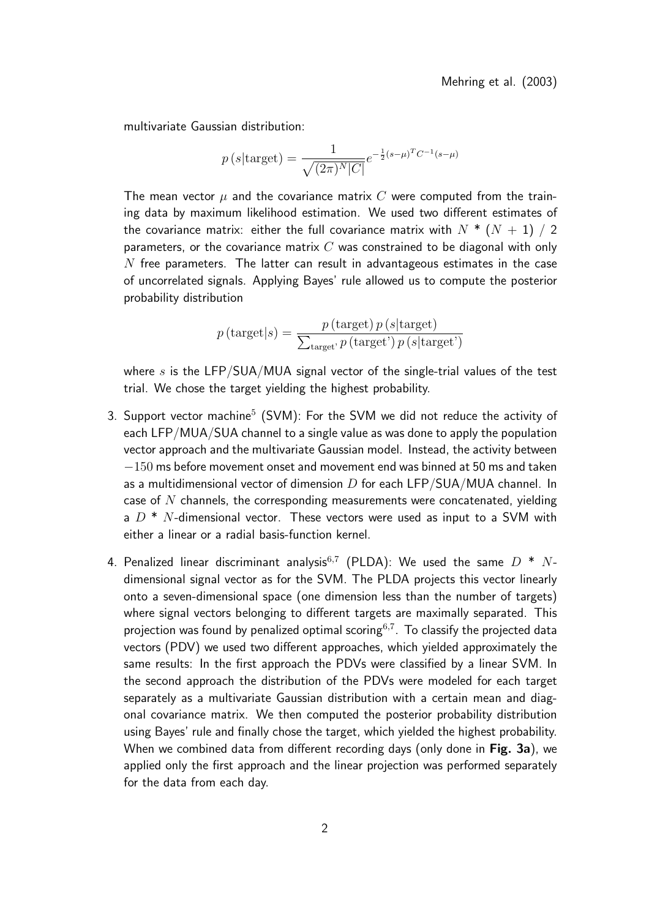multivariate Gaussian distribution:

$$
p(s|\text{target}) = \frac{1}{\sqrt{(2\pi)^N|C|}} e^{-\frac{1}{2}(s-\mu)^T C^{-1}(s-\mu)}
$$

The mean vector  $\mu$  and the covariance matrix C were computed from the training data by maximum likelihood estimation. We used two different estimates of the covariance matrix: either the full covariance matrix with  $N^*$  ( $N+1$ ) / 2 parameters, or the covariance matrix  $C$  was constrained to be diagonal with only  $N$  free parameters. The latter can result in advantageous estimates in the case of uncorrelated signals. Applying Bayes' rule allowed us to compute the posterior probability distribution

$$
p(\text{target}|s) = \frac{p(\text{target}) p(s|\text{target})}{\sum_{\text{target}} p(\text{target'}) p(s|\text{target'})}
$$

where  $s$  is the LFP/SUA/MUA signal vector of the single-trial values of the test trial. We chose the target yielding the highest probability.

- 3. Support vector machine $^5$  (SVM): For the SVM we did not reduce the activity of each LFP/MUA/SUA channel to a single value as was done to apply the population vector approach and the multivariate Gaussian model. Instead, the activity between  $-150$  ms before movement onset and movement end was binned at 50 ms and taken as a multidimensional vector of dimension  $D$  for each LFP/SUA/MUA channel. In case of  $N$  channels, the corresponding measurements were concatenated, yielding a  $D^*$  N-dimensional vector. These vectors were used as input to a SVM with either a linear or a radial basis-function kernel.
- 4. Penalized linear discriminant analysis $^{6,7}$  (PLDA): We used the same  $D$  \*  $N\text{-}$ dimensional signal vector as for the SVM. The PLDA projects this vector linearly onto a seven-dimensional space (one dimension less than the number of targets) where signal vectors belonging to different targets are maximally separated. This projection was found by penalized optimal scoring $^{6,7}$ . To classify the projected data vectors (PDV) we used two different approaches, which yielded approximately the same results: In the first approach the PDVs were classified by a linear SVM. In the second approach the distribution of the PDVs were modeled for each target separately as a multivariate Gaussian distribution with a certain mean and diagonal covariance matrix. We then computed the posterior probability distribution using Bayes' rule and finally chose the target, which yielded the highest probability. When we combined data from different recording days (only done in Fig. 3a), we applied only the first approach and the linear projection was performed separately for the data from each day.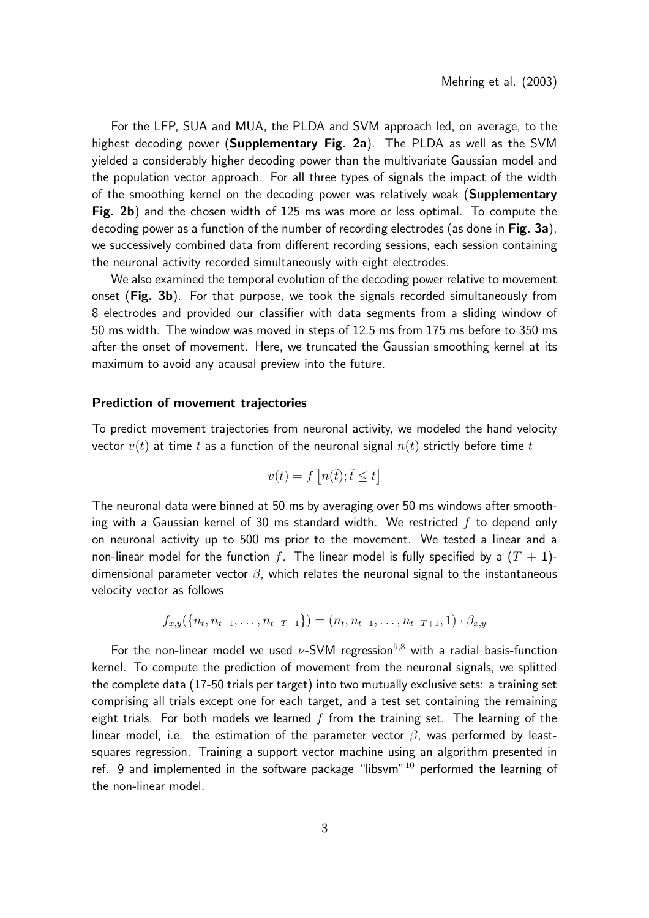For the LFP, SUA and MUA, the PLDA and SVM approach led, on average, to the highest decoding power (Supplementary Fig. 2a). The PLDA as well as the SVM yielded a considerably higher decoding power than the multivariate Gaussian model and the population vector approach. For all three types of signals the impact of the width of the smoothing kernel on the decoding power was relatively weak (**Supplementary** Fig. 2b) and the chosen width of 125 ms was more or less optimal. To compute the decoding power as a function of the number of recording electrodes (as done in Fig. 3a), we successively combined data from different recording sessions, each session containing the neuronal activity recorded simultaneously with eight electrodes.

We also examined the temporal evolution of the decoding power relative to movement onset (Fig. 3b). For that purpose, we took the signals recorded simultaneously from 8 electrodes and provided our classifier with data segments from a sliding window of 50 ms width. The window was moved in steps of 12.5 ms from 175 ms before to 350 ms after the onset of movement. Here, we truncated the Gaussian smoothing kernel at its maximum to avoid any acausal preview into the future.

#### Prediction of movement trajectories

To predict movement trajectories from neuronal activity, we modeled the hand velocity vector  $v(t)$  at time t as a function of the neuronal signal  $n(t)$  strictly before time t

$$
v(t) = f\left[n(\tilde{t}); \tilde{t} \le t\right]
$$

The neuronal data were binned at 50 ms by averaging over 50 ms windows after smoothing with a Gaussian kernel of 30 ms standard width. We restricted  $f$  to depend only on neuronal activity up to 500 ms prior to the movement. We tested a linear and a non-linear model for the function f. The linear model is fully specified by a  $(T + 1)$ dimensional parameter vector  $\beta$ , which relates the neuronal signal to the instantaneous velocity vector as follows

$$
f_{x,y}(\{n_t, n_{t-1}, \ldots, n_{t-T+1}\}) = (n_t, n_{t-1}, \ldots, n_{t-T+1}, 1) \cdot \beta_{x,y}
$$

For the non-linear model we used  $\nu$ -SVM regression<sup>5,8</sup> with a radial basis-function kernel. To compute the prediction of movement from the neuronal signals, we splitted the complete data (17-50 trials per target) into two mutually exclusive sets: a training set comprising all trials except one for each target, and a test set containing the remaining eight trials. For both models we learned  $f$  from the training set. The learning of the linear model, i.e. the estimation of the parameter vector  $\beta$ , was performed by leastsquares regression. Training a support vector machine using an algorithm presented in ref. 9 and implemented in the software package "libsvm"  $10$  performed the learning of the non-linear model.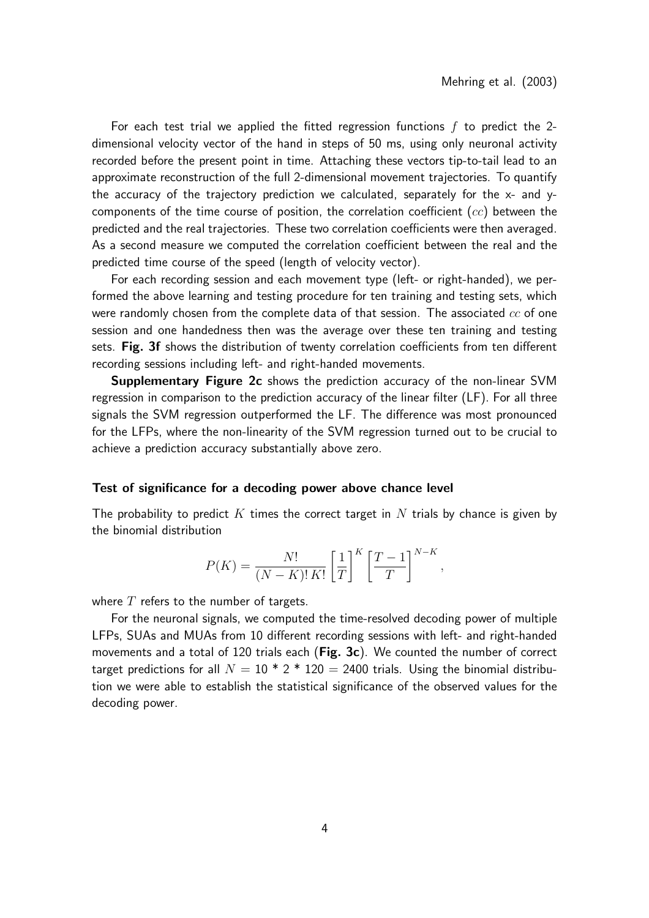For each test trial we applied the fitted regression functions  $f$  to predict the 2dimensional velocity vector of the hand in steps of 50 ms, using only neuronal activity recorded before the present point in time. Attaching these vectors tip-to-tail lead to an approximate reconstruction of the full 2-dimensional movement trajectories. To quantify the accuracy of the trajectory prediction we calculated, separately for the  $x$ - and  $y$ components of the time course of position, the correlation coefficient  $(cc)$  between the predicted and the real trajectories. These two correlation coefficients were then averaged. As a second measure we computed the correlation coefficient between the real and the predicted time course of the speed (length of velocity vector).

For each recording session and each movement type (left- or right-handed), we performed the above learning and testing procedure for ten training and testing sets, which were randomly chosen from the complete data of that session. The associated  $cc$  of one session and one handedness then was the average over these ten training and testing sets. Fig. 3f shows the distribution of twenty correlation coefficients from ten different recording sessions including left- and right-handed movements.

Supplementary Figure 2c shows the prediction accuracy of the non-linear SVM regression in comparison to the prediction accuracy of the linear filter (LF). For all three signals the SVM regression outperformed the LF. The difference was most pronounced for the LFPs, where the non-linearity of the SVM regression turned out to be crucial to achieve a prediction accuracy substantially above zero.

#### Test of significance for a decoding power above chance level

The probability to predict K times the correct target in N trials by chance is given by the binomial distribution

$$
P(K) = \frac{N!}{(N-K)! K!} \left[\frac{1}{T}\right]^K \left[\frac{T-1}{T}\right]^{N-K},
$$

where  $T$  refers to the number of targets.

For the neuronal signals, we computed the time-resolved decoding power of multiple LFPs, SUAs and MUAs from 10 different recording sessions with left- and right-handed movements and a total of 120 trials each (Fig. 3c). We counted the number of correct target predictions for all  $N = 10 * 2 * 120 = 2400$  trials. Using the binomial distribution we were able to establish the statistical significance of the observed values for the decoding power.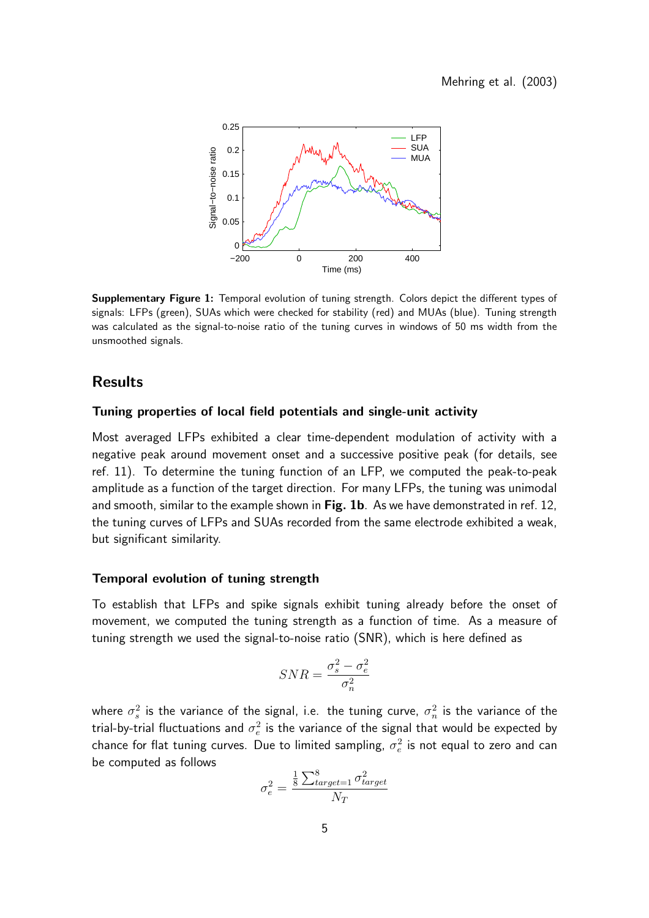

Supplementary Figure 1: Temporal evolution of tuning strength. Colors depict the different types of signals: LFPs (green), SUAs which were checked for stability (red) and MUAs (blue). Tuning strength was calculated as the signal-to-noise ratio of the tuning curves in windows of 50 ms width from the unsmoothed signals.

### Results

#### Tuning properties of local field potentials and single-unit activity

Most averaged LFPs exhibited a clear time-dependent modulation of activity with a negative peak around movement onset and a successive positive peak (for details, see ref. 11). To determine the tuning function of an LFP, we computed the peak-to-peak amplitude as a function of the target direction. For many LFPs, the tuning was unimodal and smooth, similar to the example shown in Fig. 1b. As we have demonstrated in ref. 12, the tuning curves of LFPs and SUAs recorded from the same electrode exhibited a weak, but significant similarity.

#### Temporal evolution of tuning strength

To establish that LFPs and spike signals exhibit tuning already before the onset of movement, we computed the tuning strength as a function of time. As a measure of tuning strength we used the signal-to-noise ratio (SNR), which is here defined as

$$
SNR = \frac{\sigma_s^2 - \sigma_e^2}{\sigma_n^2}
$$

where  $\sigma_s^2$  is the variance of the signal, i.e. the tuning curve,  $\sigma_n^2$  is the variance of the trial-by-trial fluctuations and  $\sigma_e^2$  is the variance of the signal that would be expected by chance for flat tuning curves. Due to limited sampling,  $\sigma_e^2$  is not equal to zero and can be computed as follows

$$
\sigma_e^2 = \frac{\frac{1}{8}\sum_{target=1}^{8}\sigma_{target}^2}{N_T}
$$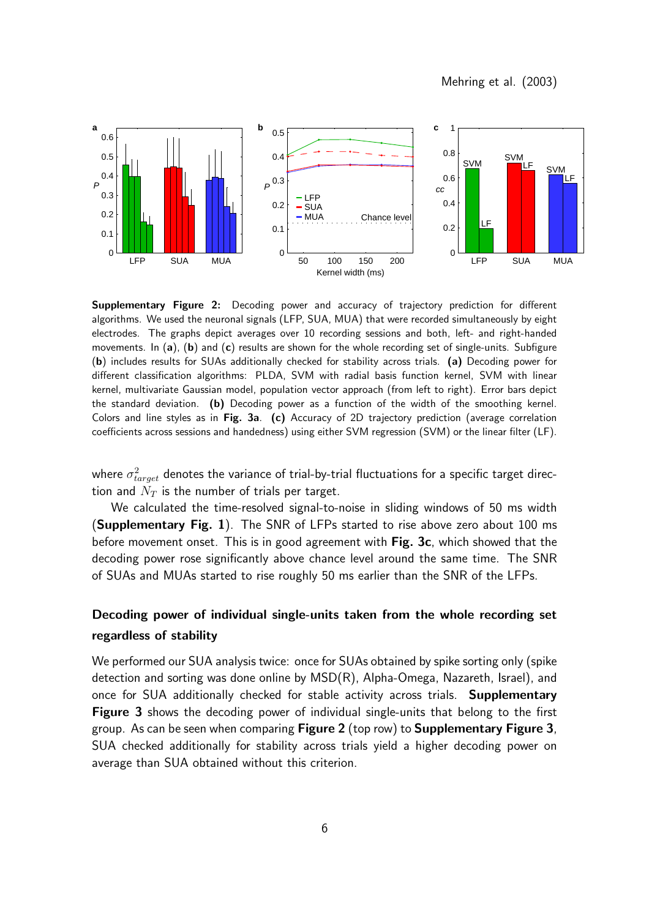Mehring et al. (2003)



Supplementary Figure 2: Decoding power and accuracy of trajectory prediction for different algorithms. We used the neuronal signals (LFP, SUA, MUA) that were recorded simultaneously by eight electrodes. The graphs depict averages over 10 recording sessions and both, left- and right-handed movements. In (a), (b) and (c) results are shown for the whole recording set of single-units. Subfigure (b) includes results for SUAs additionally checked for stability across trials. (a) Decoding power for different classification algorithms: PLDA, SVM with radial basis function kernel, SVM with linear kernel, multivariate Gaussian model, population vector approach (from left to right). Error bars depict the standard deviation. (b) Decoding power as a function of the width of the smoothing kernel. Colors and line styles as in Fig. 3a. (c) Accuracy of 2D trajectory prediction (average correlation coefficients across sessions and handedness) using either SVM regression (SVM) or the linear filter (LF).

where  $\sigma^2_{target}$  denotes the variance of trial-by-trial fluctuations for a specific target direction and  $N_T$  is the number of trials per target.

We calculated the time-resolved signal-to-noise in sliding windows of 50 ms width (Supplementary Fig. 1). The SNR of LFPs started to rise above zero about 100 ms before movement onset. This is in good agreement with Fig. 3c, which showed that the decoding power rose significantly above chance level around the same time. The SNR of SUAs and MUAs started to rise roughly 50 ms earlier than the SNR of the LFPs.

## Decoding power of individual single-units taken from the whole recording set regardless of stability

We performed our SUA analysis twice: once for SUAs obtained by spike sorting only (spike detection and sorting was done online by MSD(R), Alpha-Omega, Nazareth, Israel), and once for SUA additionally checked for stable activity across trials. Supplementary Figure 3 shows the decoding power of individual single-units that belong to the first group. As can be seen when comparing Figure 2 (top row) to Supplementary Figure 3, SUA checked additionally for stability across trials yield a higher decoding power on average than SUA obtained without this criterion.